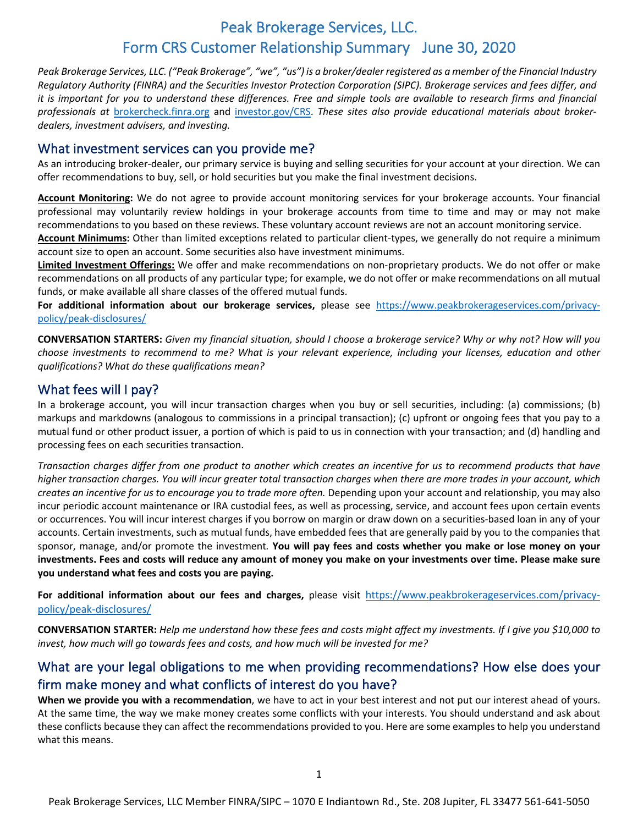## Peak Brokerage Services, LLC. Form CRS Customer Relationship Summary June 30, 2020

*Peak Brokerage Services, LLC. ("Peak Brokerage", "we", "us") is a broker/dealer registered as a member of the Financial Industry Regulatory Authority (FINRA) and the Securities Investor Protection Corporation (SIPC). Brokerage services and fees differ, and it is important for you to understand these differences. Free and simple tools are available to research firms and financial professionals at* brokercheck.finra.org and investor.gov/CRS. *These sites also provide educational materials about brokerdealers, investment advisers, and investing.*

### What investment services can you provide me?

As an introducing broker-dealer, our primary service is buying and selling securities for your account at your direction. We can offer recommendations to buy, sell, or hold securities but you make the final investment decisions.

**Account Monitoring:** We do not agree to provide account monitoring services for your brokerage accounts. Your financial professional may voluntarily review holdings in your brokerage accounts from time to time and may or may not make recommendations to you based on these reviews. These voluntary account reviews are not an account monitoring service.

**Account Minimums:** Other than limited exceptions related to particular client-types, we generally do not require a minimum account size to open an account. Some securities also have investment minimums.

**Limited Investment Offerings:** We offer and make recommendations on non-proprietary products. We do not offer or make recommendations on all products of any particular type; for example, we do not offer or make recommendations on all mutual funds, or make available all share classes of the offered mutual funds.

**For additional information about our brokerage services,** please see https://www.peakbrokerageservices.com/privacypolicy/peak-disclosures/

**CONVERSATION STARTERS:** *Given my financial situation, should I choose a brokerage service? Why or why not? How will you choose investments to recommend to me? What is your relevant experience, including your licenses, education and other qualifications? What do these qualifications mean?*

### What fees will I pay?

In a brokerage account, you will incur transaction charges when you buy or sell securities, including: (a) commissions; (b) markups and markdowns (analogous to commissions in a principal transaction); (c) upfront or ongoing fees that you pay to a mutual fund or other product issuer, a portion of which is paid to us in connection with your transaction; and (d) handling and processing fees on each securities transaction.

*Transaction charges differ from one product to another which creates an incentive for us to recommend products that have higher transaction charges. You will incur greater total transaction charges when there are more trades in your account, which creates an incentive for us to encourage you to trade more often.* Depending upon your account and relationship, you may also incur periodic account maintenance or IRA custodial fees, as well as processing, service, and account fees upon certain events or occurrences. You will incur interest charges if you borrow on margin or draw down on a securities-based loan in any of your accounts. Certain investments, such as mutual funds, have embedded fees that are generally paid by you to the companies that sponsor, manage, and/or promote the investment*.* **You will pay fees and costs whether you make or lose money on your investments. Fees and costs will reduce any amount of money you make on your investments over time. Please make sure you understand what fees and costs you are paying.**

**For additional information about our fees and charges,** please visit https://www.peakbrokerageservices.com/privacypolicy/peak-disclosures/

**CONVERSATION STARTER:** *Help me understand how these fees and costs might affect my investments. If I give you \$10,000 to invest, how much will go towards fees and costs, and how much will be invested for me?*

## What are your legal obligations to me when providing recommendations? How else does your firm make money and what conflicts of interest do you have?

**When we provide you with a recommendation**, we have to act in your best interest and not put our interest ahead of yours. At the same time, the way we make money creates some conflicts with your interests. You should understand and ask about these conflicts because they can affect the recommendations provided to you. Here are some examples to help you understand what this means.